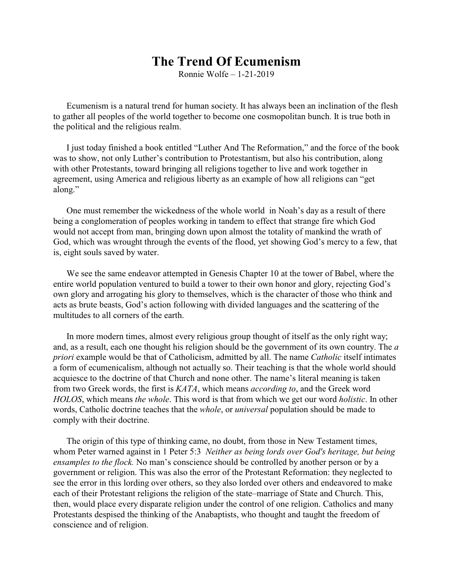## **The Trend Of Ecumenism**

Ronnie Wolfe – 1-21-2019

Ecumenism is a natural trend for human society. It has always been an inclination of the flesh to gather all peoples of the world together to become one cosmopolitan bunch. It is true both in the political and the religious realm.

I just today finished a book entitled "Luther And The Reformation," and the force of the book was to show, not only Luther's contribution to Protestantism, but also his contribution, along with other Protestants, toward bringing all religions together to live and work together in agreement, using America and religious liberty as an example of how all religions can "get along."

One must remember the wickedness of the whole world in Noah's day as a result of there being a conglomeration of peoples working in tandem to effect that strange fire which God would not accept from man, bringing down upon almost the totality of mankind the wrath of God, which was wrought through the events of the flood, yet showing God's mercy to a few, that is, eight souls saved by water.

We see the same endeavor attempted in Genesis Chapter 10 at the tower of Babel, where the entire world population ventured to build a tower to their own honor and glory, rejecting God's own glory and arrogating his glory to themselves, which is the character of those who think and acts as brute beasts, God's action following with divided languages and the scattering of the multitudes to all corners of the earth.

In more modern times, almost every religious group thought of itself as the only right way; and, as a result, each one thought his religion should be the government of its own country. The *a priori* example would be that of Catholicism, admitted by all. The name *Catholic* itself intimates a form of ecumenicalism, although not actually so. Their teaching is that the whole world should acquiesce to the doctrine of that Church and none other. The name's literal meaning is taken from two Greek words, the first is *KATA*, which means *according to*, and the Greek word *HOLOS*, which means *the whole*. This word is that from which we get our word *holistic*. In other words, Catholic doctrine teaches that the *whole*, or *universal* population should be made to comply with their doctrine.

The origin of this type of thinking came, no doubt, from those in New Testament times, whom Peter warned against in 1 Peter 5:3 *Neither as being lords over God's heritage, but being ensamples to the flock.* No man's conscience should be controlled by another person or by a government or religion. This was also the error of the Protestant Reformation: they neglected to see the error in this lording over others, so they also lorded over others and endeavored to make each of their Protestant religions the religion of the state–marriage of State and Church. This, then, would place every disparate religion under the control of one religion. Catholics and many Protestants despised the thinking of the Anabaptists, who thought and taught the freedom of conscience and of religion.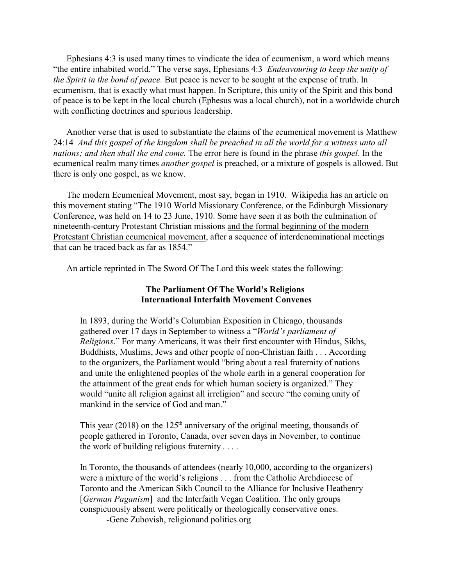Ephesians 4:3 is used many times to vindicate the idea of ecumenism, a word which means "the entire inhabited world." The verse says, Ephesians 4:3 *Endeavouring to keep the unity of the Spirit in the bond of peace.* But peace is never to be sought at the expense of truth. In ecumenism, that is exactly what must happen. In Scripture, this unity of the Spirit and this bond of peace is to be kept in the local church (Ephesus was a local church), not in a worldwide church with conflicting doctrines and spurious leadership.

Another verse that is used to substantiate the claims of the ecumenical movement is Matthew 24:14 *And this gospel of the kingdom shall be preached in all the world for a witness unto all nations; and then shall the end come.* The error here is found in the phrase *this gospel*. In the ecumenical realm many times *another gospel* is preached, or a mixture of gospels is allowed. But there is only one gospel, as we know.

The modern Ecumenical Movement, most say, began in 1910. Wikipedia has an article on this movement stating "The 1910 World Missionary Conference, or the Edinburgh Missionary Conference, was held on 14 to 23 June, 1910. Some have seen it as both the culmination of nineteenth-century Protestant Christian missions and the formal beginning of the modern Protestant Christian ecumenical movement, after a sequence of interdenominational meetings that can be traced back as far as 1854."

An article reprinted in The Sword Of The Lord this week states the following:

## **The Parliament Of The World's Religions International Interfaith Movement Convenes**

In 1893, during the World's Columbian Exposition in Chicago, thousands gathered over 17 days in September to witness a "*World's parliament of Religions*." For many Americans, it was their first encounter with Hindus, Sikhs, Buddhists, Muslims, Jews and other people of non-Christian faith . . . According to the organizers, the Parliament would "bring about a real fraternity of nations and unite the enlightened peoples of the whole earth in a general cooperation for the attainment of the great ends for which human society is organized." They would "unite all religion against all irreligion" and secure "the coming unity of mankind in the service of God and man."

This year (2018) on the 125<sup>th</sup> anniversary of the original meeting, thousands of people gathered in Toronto, Canada, over seven days in November, to continue the work of building religious fraternity . . . .

In Toronto, the thousands of attendees (nearly 10,000, according to the organizers) were a mixture of the world's religions . . . from the Catholic Archdiocese of Toronto and the American Sikh Council to the Alliance for Inclusive Heathenry [*German Paganism*] and the Interfaith Vegan Coalition. The only groups conspicuously absent were politically or theologically conservative ones.

-Gene Zubovish, religionand politics.org